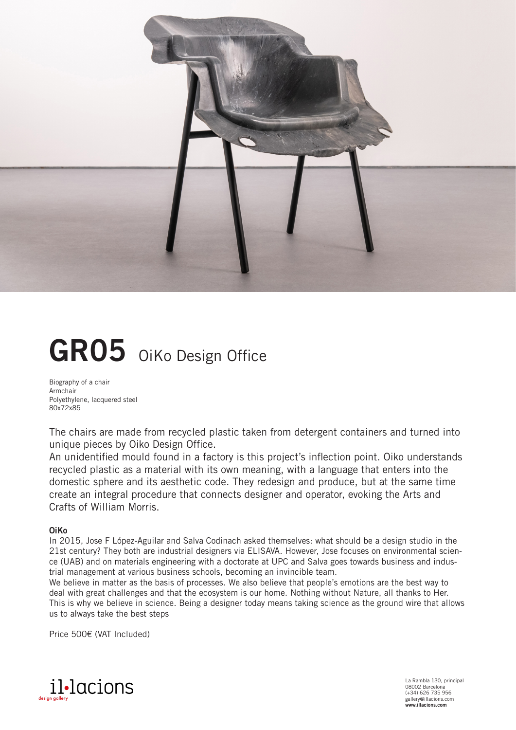

## **GR05** OiKo Design Office

Biography of a chair Armchair Polyethylene, lacquered steel 80x72x85

The chairs are made from recycled plastic taken from detergent containers and turned into unique pieces by Oiko Design Office.

An unidentified mould found in a factory is this project's inflection point. Oiko understands recycled plastic as a material with its own meaning, with a language that enters into the domestic sphere and its aesthetic code. They redesign and produce, but at the same time create an integral procedure that connects designer and operator, evoking the Arts and Crafts of William Morris.

## **OiKo**

In 2015, Jose F López-Aguilar and Salva Codinach asked themselves: what should be a design studio in the 21st century? They both are industrial designers via ELISAVA. However, Jose focuses on environmental science (UAB) and on materials engineering with a doctorate at UPC and Salva goes towards business and industrial management at various business schools, becoming an invincible team.

We believe in matter as the basis of processes. We also believe that people's emotions are the best way to deal with great challenges and that the ecosystem is our home. Nothing without Nature, all thanks to Her. This is why we believe in science. Being a designer today means taking science as the ground wire that allows us to always take the best steps

Price 500€ (VAT Included)



La Rambla 130, principal 08002 Barcelona (+34) 626 735 956 gallery@illacions.com **www.illacions.com**